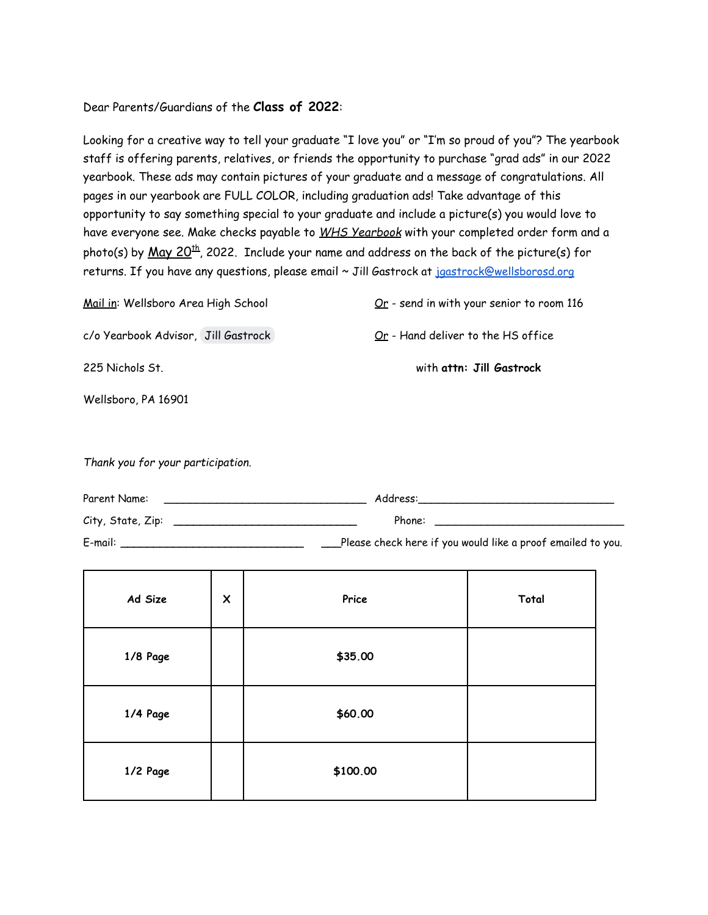## Dear Parents/Guardians of the **Class of 2022**:

Looking for a creative way to tell your graduate "I love you" or "I'm so proud of you"? The yearbook staff is offering parents, relatives, or friends the opportunity to purchase "grad ads" in our 2022 yearbook. These ads may contain pictures of your graduate and a message of congratulations. All pages in our yearbook are FULL COLOR, including graduation ads! Take advantage of this opportunity to say something special to your graduate and include a picture(s) you would love to have everyone see. Make checks payable to *WHS Yearbook* with your completed order form and a photo(s) by <u>May 20<sup>th</sup>,</u> 2022. Include your name and address on the back of the picture(s) for returns. If you have any questions, please email ~ Jill Gastrock at jaastrock@wellsborosd.org

| Mail in: Wellsboro Area High School | $Qr$ - send in with your senior to room 116 |
|-------------------------------------|---------------------------------------------|
| c/o Yearbook Advisor, Jill Gastrock | <u>Or</u> - Hand deliver to the HS office   |
| 225 Nichols St.                     | with attn: Jill Gastrock                    |
| Wellsboro, PA 16901                 |                                             |
|                                     |                                             |

*Thank you for your participation.*

| Parent Name:      | Address:                                                    |  |
|-------------------|-------------------------------------------------------------|--|
| City, State, Zip: | Phone:                                                      |  |
| E-mail:           | Please check here if you would like a proof emailed to you. |  |

| Ad Size  | $\pmb{\times}$ | Price    | Total |
|----------|----------------|----------|-------|
| 1/8 Page |                | \$35.00  |       |
| 1/4 Page |                | \$60.00  |       |
| 1/2 Page |                | \$100.00 |       |